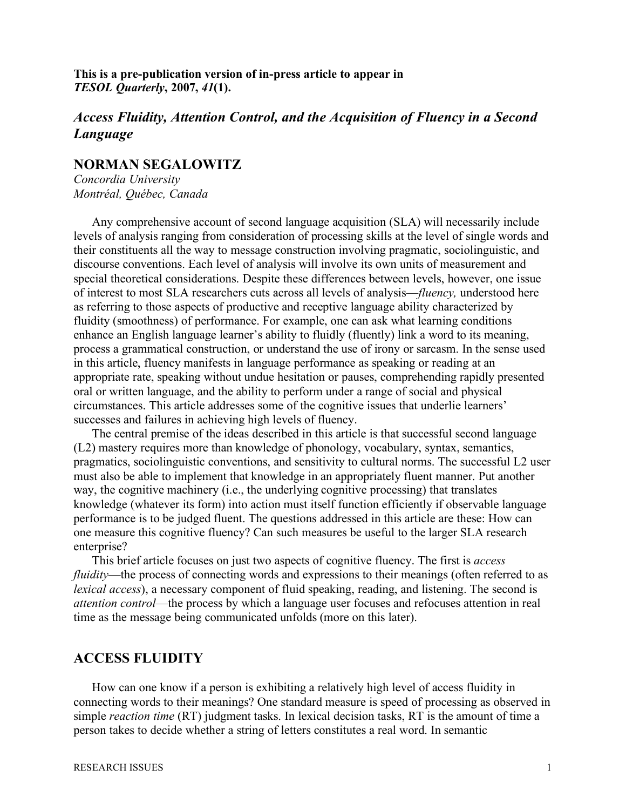**This is a pre-publication version of in-press article to appear in** *TESOL Quarterly***, 2007,** *41***(1).**

# *Access Fluidity, Attention Control, and the Acquisition of Fluency in a Second Language*

### **NORMAN SEGALOWITZ**

*Concordia University Montréal, Québec, Canada*

Any comprehensive account of second language acquisition (SLA) will necessarily include levels of analysis ranging from consideration of processing skills at the level of single words and their constituents all the way to message construction involving pragmatic, sociolinguistic, and discourse conventions. Each level of analysis will involve its own units of measurement and special theoretical considerations. Despite these differences between levels, however, one issue of interest to most SLA researchers cuts across all levels of analysis—*fluency,* understood here as referring to those aspects of productive and receptive language ability characterized by fluidity (smoothness) of performance. For example, one can ask what learning conditions enhance an English language learner's ability to fluidly (fluently) link a word to its meaning, process a grammatical construction, or understand the use of irony or sarcasm. In the sense used in this article, fluency manifests in language performance as speaking or reading at an appropriate rate, speaking without undue hesitation or pauses, comprehending rapidly presented oral or written language, and the ability to perform under a range of social and physical circumstances. This article addresses some of the cognitive issues that underlie learners' successes and failures in achieving high levels of fluency.

The central premise of the ideas described in this article is that successful second language (L2) mastery requires more than knowledge of phonology, vocabulary, syntax, semantics, pragmatics, sociolinguistic conventions, and sensitivity to cultural norms. The successful L2 user must also be able to implement that knowledge in an appropriately fluent manner. Put another way, the cognitive machinery (i.e., the underlying cognitive processing) that translates knowledge (whatever its form) into action must itself function efficiently if observable language performance is to be judged fluent. The questions addressed in this article are these: How can one measure this cognitive fluency? Can such measures be useful to the larger SLA research enterprise?

This brief article focuses on just two aspects of cognitive fluency. The first is *access fluidity*—the process of connecting words and expressions to their meanings (often referred to as *lexical access*), a necessary component of fluid speaking, reading, and listening. The second is *attention control*—the process by which a language user focuses and refocuses attention in real time as the message being communicated unfolds (more on this later).

### **ACCESS FLUIDITY**

How can one know if a person is exhibiting a relatively high level of access fluidity in connecting words to their meanings? One standard measure is speed of processing as observed in simple *reaction time* (RT) judgment tasks. In lexical decision tasks, RT is the amount of time a person takes to decide whether a string of letters constitutes a real word. In semantic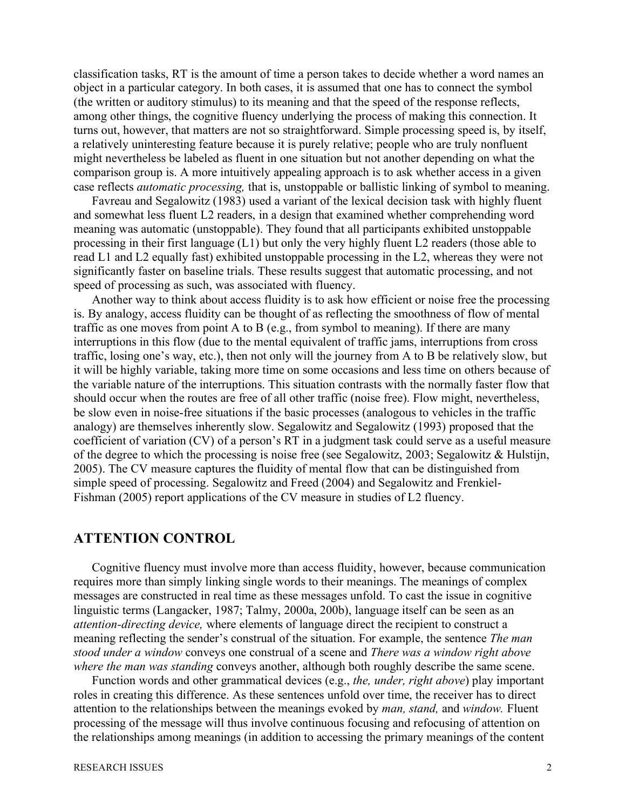classification tasks, RT is the amount of time a person takes to decide whether a word names an object in a particular category. In both cases, it is assumed that one has to connect the symbol (the written or auditory stimulus) to its meaning and that the speed of the response reflects, among other things, the cognitive fluency underlying the process of making this connection. It turns out, however, that matters are not so straightforward. Simple processing speed is, by itself, a relatively uninteresting feature because it is purely relative; people who are truly nonfluent might nevertheless be labeled as fluent in one situation but not another depending on what the comparison group is. A more intuitively appealing approach is to ask whether access in a given case reflects *automatic processing,* that is, unstoppable or ballistic linking of symbol to meaning.

Favreau and Segalowitz (1983) used a variant of the lexical decision task with highly fluent and somewhat less fluent L2 readers, in a design that examined whether comprehending word meaning was automatic (unstoppable). They found that all participants exhibited unstoppable processing in their first language (L1) but only the very highly fluent L2 readers (those able to read L1 and L2 equally fast) exhibited unstoppable processing in the L2, whereas they were not significantly faster on baseline trials. These results suggest that automatic processing, and not speed of processing as such, was associated with fluency.

Another way to think about access fluidity is to ask how efficient or noise free the processing is. By analogy, access fluidity can be thought of as reflecting the smoothness of flow of mental traffic as one moves from point A to B (e.g., from symbol to meaning). If there are many interruptions in this flow (due to the mental equivalent of traffic jams, interruptions from cross traffic, losing one's way, etc.), then not only will the journey from A to B be relatively slow, but it will be highly variable, taking more time on some occasions and less time on others because of the variable nature of the interruptions. This situation contrasts with the normally faster flow that should occur when the routes are free of all other traffic (noise free). Flow might, nevertheless, be slow even in noise-free situations if the basic processes (analogous to vehicles in the traffic analogy) are themselves inherently slow. Segalowitz and Segalowitz (1993) proposed that the coefficient of variation (CV) of a person's RT in a judgment task could serve as a useful measure of the degree to which the processing is noise free (see Segalowitz, 2003; Segalowitz & Hulstijn, 2005). The CV measure captures the fluidity of mental flow that can be distinguished from simple speed of processing. Segalowitz and Freed (2004) and Segalowitz and Frenkiel-Fishman (2005) report applications of the CV measure in studies of L2 fluency.

#### **ATTENTION CONTROL**

Cognitive fluency must involve more than access fluidity, however, because communication requires more than simply linking single words to their meanings. The meanings of complex messages are constructed in real time as these messages unfold. To cast the issue in cognitive linguistic terms (Langacker, 1987; Talmy, 2000a, 200b), language itself can be seen as an *attention-directing device,* where elements of language direct the recipient to construct a meaning reflecting the sender's construal of the situation. For example, the sentence *The man stood under a window* conveys one construal of a scene and *There was a window right above where the man was standing* conveys another, although both roughly describe the same scene.

Function words and other grammatical devices (e.g., *the, under, right above*) play important roles in creating this difference. As these sentences unfold over time, the receiver has to direct attention to the relationships between the meanings evoked by *man, stand,* and *window.* Fluent processing of the message will thus involve continuous focusing and refocusing of attention on the relationships among meanings (in addition to accessing the primary meanings of the content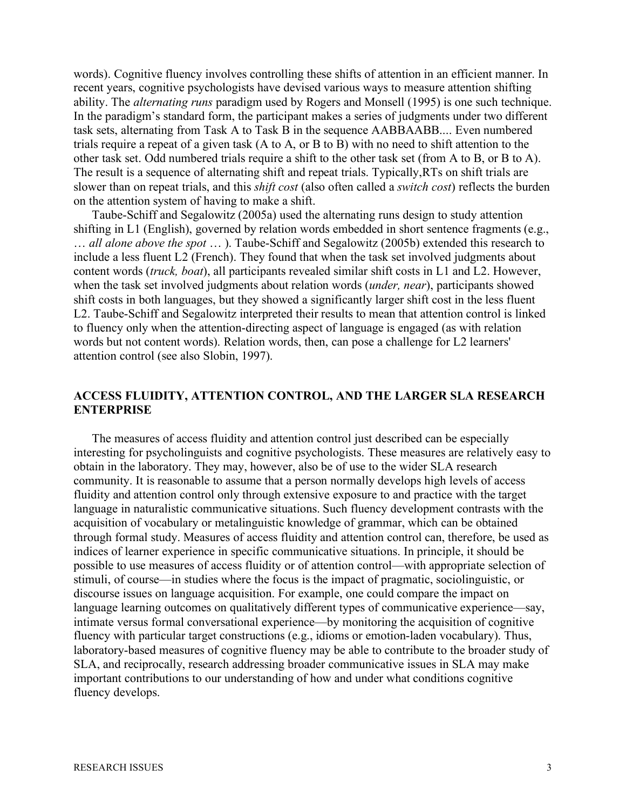words). Cognitive fluency involves controlling these shifts of attention in an efficient manner. In recent years, cognitive psychologists have devised various ways to measure attention shifting ability. The *alternating runs* paradigm used by Rogers and Monsell (1995) is one such technique. In the paradigm's standard form, the participant makes a series of judgments under two different task sets, alternating from Task A to Task B in the sequence AABBAABB.... Even numbered trials require a repeat of a given task (A to A, or B to B) with no need to shift attention to the other task set. Odd numbered trials require a shift to the other task set (from A to B, or B to A). The result is a sequence of alternating shift and repeat trials. Typically,RTs on shift trials are slower than on repeat trials, and this *shift cost* (also often called a *switch cost*) reflects the burden on the attention system of having to make a shift.

Taube-Schiff and Segalowitz (2005a) used the alternating runs design to study attention shifting in L1 (English), governed by relation words embedded in short sentence fragments (e.g., … *all alone above the spot* … ). Taube-Schiff and Segalowitz (2005b) extended this research to include a less fluent L2 (French). They found that when the task set involved judgments about content words (*truck, boat*), all participants revealed similar shift costs in L1 and L2. However, when the task set involved judgments about relation words (*under, near*), participants showed shift costs in both languages, but they showed a significantly larger shift cost in the less fluent L2. Taube-Schiff and Segalowitz interpreted their results to mean that attention control is linked to fluency only when the attention-directing aspect of language is engaged (as with relation words but not content words). Relation words, then, can pose a challenge for L2 learners' attention control (see also Slobin, 1997).

#### **ACCESS FLUIDITY, ATTENTION CONTROL, AND THE LARGER SLA RESEARCH ENTERPRISE**

The measures of access fluidity and attention control just described can be especially interesting for psycholinguists and cognitive psychologists. These measures are relatively easy to obtain in the laboratory. They may, however, also be of use to the wider SLA research community. It is reasonable to assume that a person normally develops high levels of access fluidity and attention control only through extensive exposure to and practice with the target language in naturalistic communicative situations. Such fluency development contrasts with the acquisition of vocabulary or metalinguistic knowledge of grammar, which can be obtained through formal study. Measures of access fluidity and attention control can, therefore, be used as indices of learner experience in specific communicative situations. In principle, it should be possible to use measures of access fluidity or of attention control—with appropriate selection of stimuli, of course—in studies where the focus is the impact of pragmatic, sociolinguistic, or discourse issues on language acquisition. For example, one could compare the impact on language learning outcomes on qualitatively different types of communicative experience—say, intimate versus formal conversational experience—by monitoring the acquisition of cognitive fluency with particular target constructions (e.g., idioms or emotion-laden vocabulary). Thus, laboratory-based measures of cognitive fluency may be able to contribute to the broader study of SLA, and reciprocally, research addressing broader communicative issues in SLA may make important contributions to our understanding of how and under what conditions cognitive fluency develops.